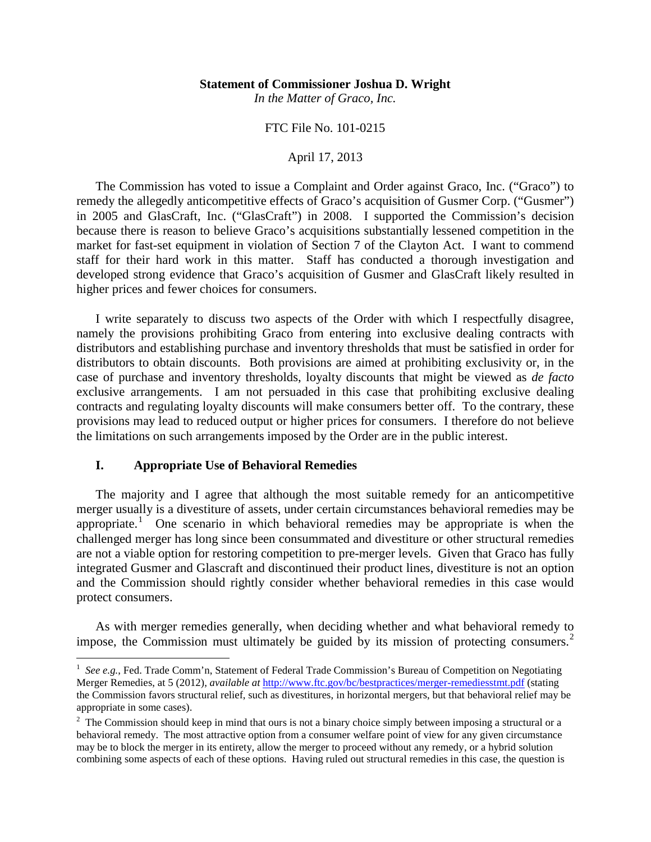#### **Statement of Commissioner Joshua D. Wright**

*In the Matter of Graco, Inc.*

## FTC File No. 101-0215

#### April 17, 2013

The Commission has voted to issue a Complaint and Order against Graco, Inc. ("Graco") to remedy the allegedly anticompetitive effects of Graco's acquisition of Gusmer Corp. ("Gusmer") in 2005 and GlasCraft, Inc. ("GlasCraft") in 2008. I supported the Commission's decision because there is reason to believe Graco's acquisitions substantially lessened competition in the market for fast-set equipment in violation of Section 7 of the Clayton Act. I want to commend staff for their hard work in this matter. Staff has conducted a thorough investigation and developed strong evidence that Graco's acquisition of Gusmer and GlasCraft likely resulted in higher prices and fewer choices for consumers.

I write separately to discuss two aspects of the Order with which I respectfully disagree, namely the provisions prohibiting Graco from entering into exclusive dealing contracts with distributors and establishing purchase and inventory thresholds that must be satisfied in order for distributors to obtain discounts. Both provisions are aimed at prohibiting exclusivity or, in the case of purchase and inventory thresholds, loyalty discounts that might be viewed as *de facto* exclusive arrangements. I am not persuaded in this case that prohibiting exclusive dealing contracts and regulating loyalty discounts will make consumers better off. To the contrary, these provisions may lead to reduced output or higher prices for consumers. I therefore do not believe the limitations on such arrangements imposed by the Order are in the public interest.

### **I. Appropriate Use of Behavioral Remedies**

The majority and I agree that although the most suitable remedy for an anticompetitive merger usually is a divestiture of assets, under certain circumstances behavioral remedies may be appropriate.<sup>[1](#page-0-0)</sup> One scenario in which behavioral remedies may be appropriate is when the challenged merger has long since been consummated and divestiture or other structural remedies are not a viable option for restoring competition to pre-merger levels. Given that Graco has fully integrated Gusmer and Glascraft and discontinued their product lines, divestiture is not an option and the Commission should rightly consider whether behavioral remedies in this case would protect consumers.

As with merger remedies generally, when deciding whether and what behavioral remedy to impose, the Commission must ultimately be guided by its mission of protecting consumers. [2](#page-0-1)

<span id="page-0-0"></span> $\frac{1}{1}$ <sup>1</sup> See e.g., Fed. Trade Comm'n, Statement of Federal Trade Commission's Bureau of Competition on Negotiating Merger Remedies, at 5 (2012), *available at* <http://www.ftc.gov/bc/bestpractices/merger-remediesstmt.pdf> (stating the Commission favors structural relief, such as divestitures, in horizontal mergers, but that behavioral relief may be appropriate in some cases).

<span id="page-0-1"></span> $2$  The Commission should keep in mind that ours is not a binary choice simply between imposing a structural or a behavioral remedy. The most attractive option from a consumer welfare point of view for any given circumstance may be to block the merger in its entirety, allow the merger to proceed without any remedy, or a hybrid solution combining some aspects of each of these options. Having ruled out structural remedies in this case, the question is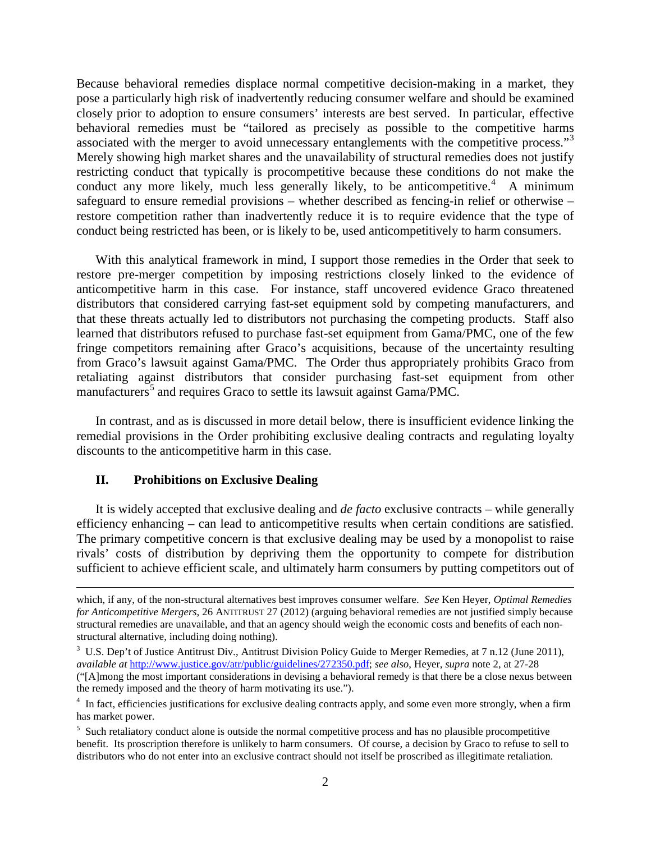Because behavioral remedies displace normal competitive decision-making in a market, they pose a particularly high risk of inadvertently reducing consumer welfare and should be examined closely prior to adoption to ensure consumers' interests are best served. In particular, effective behavioral remedies must be "tailored as precisely as possible to the competitive harms associated with the merger to avoid unnecessary entanglements with the competitive process."<sup>[3](#page-1-0)</sup> Merely showing high market shares and the unavailability of structural remedies does not justify restricting conduct that typically is procompetitive because these conditions do not make the conduct any more likely, much less generally likely, to be anticompetitive.<sup>[4](#page-1-1)</sup> A minimum safeguard to ensure remedial provisions – whether described as fencing-in relief or otherwise – restore competition rather than inadvertently reduce it is to require evidence that the type of conduct being restricted has been, or is likely to be, used anticompetitively to harm consumers.

With this analytical framework in mind, I support those remedies in the Order that seek to restore pre-merger competition by imposing restrictions closely linked to the evidence of anticompetitive harm in this case. For instance, staff uncovered evidence Graco threatened distributors that considered carrying fast-set equipment sold by competing manufacturers, and that these threats actually led to distributors not purchasing the competing products. Staff also learned that distributors refused to purchase fast-set equipment from Gama/PMC, one of the few fringe competitors remaining after Graco's acquisitions, because of the uncertainty resulting from Graco's lawsuit against Gama/PMC. The Order thus appropriately prohibits Graco from retaliating against distributors that consider purchasing fast-set equipment from other manufacturers<sup>[5](#page-1-2)</sup> and requires Graco to settle its lawsuit against Gama/PMC.

In contrast, and as is discussed in more detail below, there is insufficient evidence linking the remedial provisions in the Order prohibiting exclusive dealing contracts and regulating loyalty discounts to the anticompetitive harm in this case.

### **II. Prohibitions on Exclusive Dealing**

It is widely accepted that exclusive dealing and *de facto* exclusive contracts – while generally efficiency enhancing – can lead to anticompetitive results when certain conditions are satisfied. The primary competitive concern is that exclusive dealing may be used by a monopolist to raise rivals' costs of distribution by depriving them the opportunity to compete for distribution sufficient to achieve efficient scale, and ultimately harm consumers by putting competitors out of

which, if any, of the non-structural alternatives best improves consumer welfare. *See* Ken Heyer, *Optimal Remedies for Anticompetitive Mergers*, 26 ANTITRUST 27 (2012) (arguing behavioral remedies are not justified simply because structural remedies are unavailable, and that an agency should weigh the economic costs and benefits of each nonstructural alternative, including doing nothing).

<span id="page-1-0"></span><sup>&</sup>lt;sup>3</sup> U.S. Dep't of Justice Antitrust Div., Antitrust Division Policy Guide to Merger Remedies, at 7 n.12 (June 2011), *available at* [http://www.justice.gov/atr/public/guidelines/272350.pdf;](http://www.justice.gov/atr/public/guidelines/272350.pdf) *see also*, Heyer, *supra* note 2, at 27-28 ("[A]mong the most important considerations in devising a behavioral remedy is that there be a close nexus between the remedy imposed and the theory of harm motivating its use.").

<span id="page-1-1"></span><sup>&</sup>lt;sup>4</sup> In fact, efficiencies justifications for exclusive dealing contracts apply, and some even more strongly, when a firm has market power.

<span id="page-1-2"></span><sup>&</sup>lt;sup>5</sup> Such retaliatory conduct alone is outside the normal competitive process and has no plausible procompetitive benefit. Its proscription therefore is unlikely to harm consumers. Of course, a decision by Graco to refuse to sell to distributors who do not enter into an exclusive contract should not itself be proscribed as illegitimate retaliation.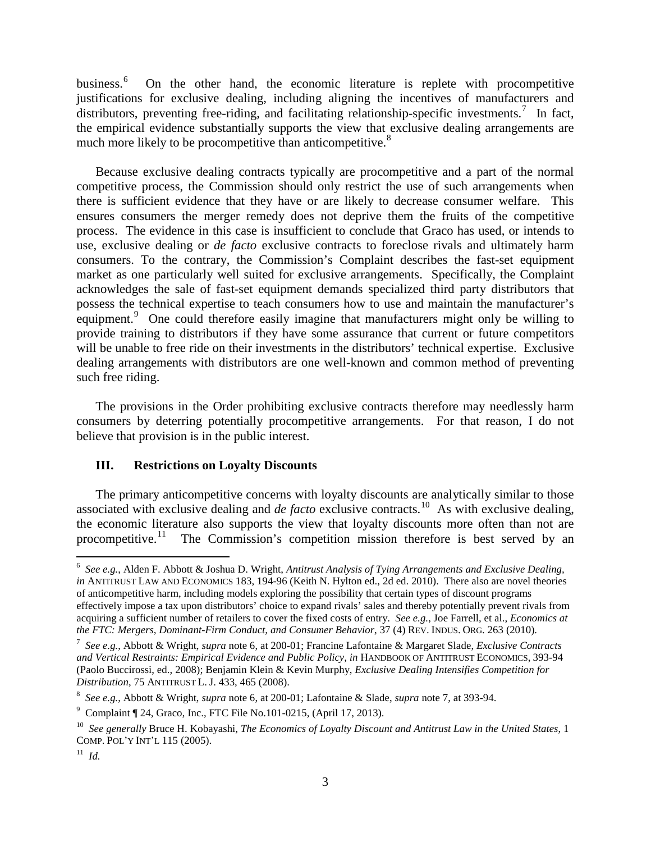business. [6](#page-2-0) On the other hand, the economic literature is replete with procompetitive justifications for exclusive dealing, including aligning the incentives of manufacturers and distributors, preventing free-riding, and facilitating relationship-specific investments.<sup>[7](#page-2-1)</sup> In fact, the empirical evidence substantially supports the view that exclusive dealing arrangements are much more likely to be procompetitive than anticompetitive.<sup>[8](#page-2-2)</sup>

Because exclusive dealing contracts typically are procompetitive and a part of the normal competitive process, the Commission should only restrict the use of such arrangements when there is sufficient evidence that they have or are likely to decrease consumer welfare. This ensures consumers the merger remedy does not deprive them the fruits of the competitive process. The evidence in this case is insufficient to conclude that Graco has used, or intends to use, exclusive dealing or *de facto* exclusive contracts to foreclose rivals and ultimately harm consumers. To the contrary, the Commission's Complaint describes the fast-set equipment market as one particularly well suited for exclusive arrangements. Specifically, the Complaint acknowledges the sale of fast-set equipment demands specialized third party distributors that possess the technical expertise to teach consumers how to use and maintain the manufacturer's equipment.<sup>[9](#page-2-3)</sup> One could therefore easily imagine that manufacturers might only be willing to provide training to distributors if they have some assurance that current or future competitors will be unable to free ride on their investments in the distributors' technical expertise. Exclusive dealing arrangements with distributors are one well-known and common method of preventing such free riding.

The provisions in the Order prohibiting exclusive contracts therefore may needlessly harm consumers by deterring potentially procompetitive arrangements. For that reason, I do not believe that provision is in the public interest.

# **III. Restrictions on Loyalty Discounts**

The primary anticompetitive concerns with loyalty discounts are analytically similar to those associated with exclusive dealing and *de facto* exclusive contracts.<sup>[10](#page-2-4)</sup> As with exclusive dealing, the economic literature also supports the view that loyalty discounts more often than not are procompetitive. $^{11}$ The Commission's competition mission therefore is best served by an

<span id="page-2-0"></span> <sup>6</sup> *See e.g.*, Alden F. Abbott & Joshua D. Wright, *Antitrust Analysis of Tying Arrangements and Exclusive Dealing, in* ANTITRUST LAW AND ECONOMICS 183, 194-96 (Keith N. Hylton ed., 2d ed. 2010). There also are novel theories of anticompetitive harm, including models exploring the possibility that certain types of discount programs effectively impose a tax upon distributors' choice to expand rivals' sales and thereby potentially prevent rivals from acquiring a sufficient number of retailers to cover the fixed costs of entry. *See e.g.*, Joe Farrell, et al., *Economics at the FTC: Mergers, Dominant-Firm Conduct, and Consumer Behavior*, 37 (4) REV. INDUS. ORG. 263 (2010). 7

<span id="page-2-1"></span>*See e.g.*, Abbott & Wright, *supra* note 6, at 200-01; Francine Lafontaine & Margaret Slade, *Exclusive Contracts*  and Vertical Restraints: Empirical Evidence and Public Policy, in HANDBOOK OF ANTITRUST ECONOMICS, 393-94 (Paolo Buccirossi, ed., 2008); Benjamin Klein & Kevin Murphy, *Exclusive Dealing Intensifies Competition for Distribution*, 75 ANTITRUST L. J. 433, 465 (2008).

<span id="page-2-2"></span><sup>8</sup> *See e.g.*, Abbott & Wright, *supra* note 6, at 200-01; Lafontaine & Slade, *supra* note 7, at 393-94.

<span id="page-2-3"></span><sup>9</sup> Complaint ¶ 24, Graco, Inc., FTC File No.101-0215, (April 17, 2013).

<span id="page-2-4"></span><sup>10</sup> *See generally* Bruce H. Kobayashi, *The Economics of Loyalty Discount and Antitrust Law in the United States*, 1 COMP. POL'Y INT'L 115 (2005).

<span id="page-2-5"></span> $11$  *Id.*